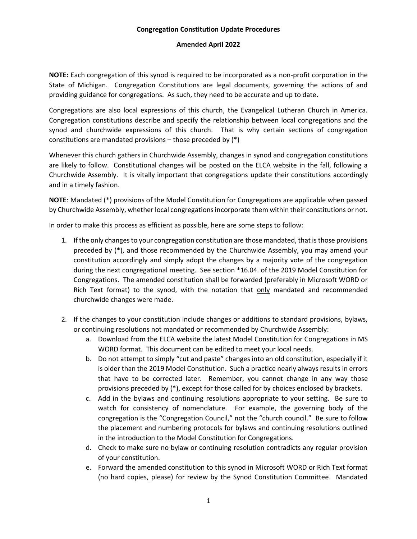## **Congregation Constitution Update Procedures**

## **Amended April 2022**

**NOTE:** Each congregation of this synod is required to be incorporated as a non-profit corporation in the State of Michigan. Congregation Constitutions are legal documents, governing the actions of and providing guidance for congregations. As such, they need to be accurate and up to date.

Congregations are also local expressions of this church, the Evangelical Lutheran Church in America. Congregation constitutions describe and specify the relationship between local congregations and the synod and churchwide expressions of this church. That is why certain sections of congregation constitutions are mandated provisions – those preceded by (\*)

Whenever this church gathers in Churchwide Assembly, changes in synod and congregation constitutions are likely to follow. Constitutional changes will be posted on the ELCA website in the fall, following a Churchwide Assembly. It is vitally important that congregations update their constitutions accordingly and in a timely fashion.

**NOTE**: Mandated (\*) provisions of the Model Constitution for Congregations are applicable when passed by Churchwide Assembly, whether local congregations incorporate them within their constitutions or not.

In order to make this process as efficient as possible, here are some steps to follow:

- 1. If the only changes to your congregation constitution are those mandated, that is those provisions preceded by (\*), and those recommended by the Churchwide Assembly, you may amend your constitution accordingly and simply adopt the changes by a majority vote of the congregation during the next congregational meeting. See section \*16.04. of the 2019 Model Constitution for Congregations. The amended constitution shall be forwarded (preferably in Microsoft WORD or Rich Text format) to the synod, with the notation that only mandated and recommended churchwide changes were made.
- 2. If the changes to your constitution include changes or additions to standard provisions, bylaws, or continuing resolutions not mandated or recommended by Churchwide Assembly:
	- a. Download from the ELCA website the latest Model Constitution for Congregations in MS WORD format. This document can be edited to meet your local needs.
	- b. Do not attempt to simply "cut and paste" changes into an old constitution, especially if it is older than the 2019 Model Constitution. Such a practice nearly always results in errors that have to be corrected later. Remember, you cannot change in any way those provisions preceded by (\*), except for those called for by choices enclosed by brackets.
	- c. Add in the bylaws and continuing resolutions appropriate to your setting. Be sure to watch for consistency of nomenclature. For example, the governing body of the congregation is the "Congregation Council," not the "church council." Be sure to follow the placement and numbering protocols for bylaws and continuing resolutions outlined in the introduction to the Model Constitution for Congregations.
	- d. Check to make sure no bylaw or continuing resolution contradicts any regular provision of your constitution.
	- e. Forward the amended constitution to this synod in Microsoft WORD or Rich Text format (no hard copies, please) for review by the Synod Constitution Committee. Mandated